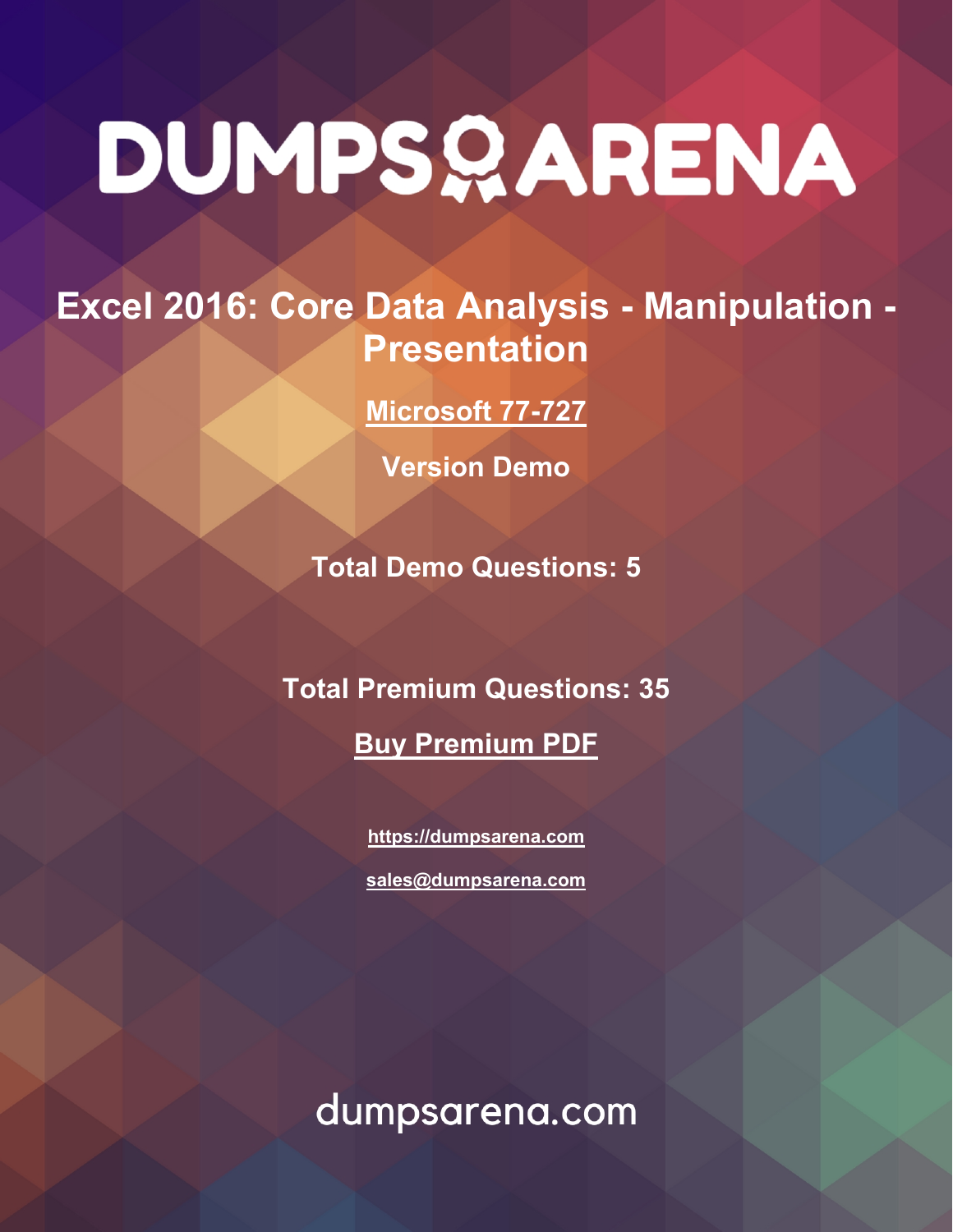## **Excel 2016: Core Data Analysis - Manipulation - Presentation**

**[Microsoft 77-727](https://dumpsarena.com/exam/77-727/)**

**Version Demo**

**Total Demo Questions: 5**

**Total Premium Questions: 35**

**[Buy Premium PDF](https://dumpsarena.com/exam/77-727/)**

**[https://dumpsarena.com](https://dumpsarena.com/) [sales@dumpsarena.com](mailto:sales@dumpsarena.com)**

dumpsarena.com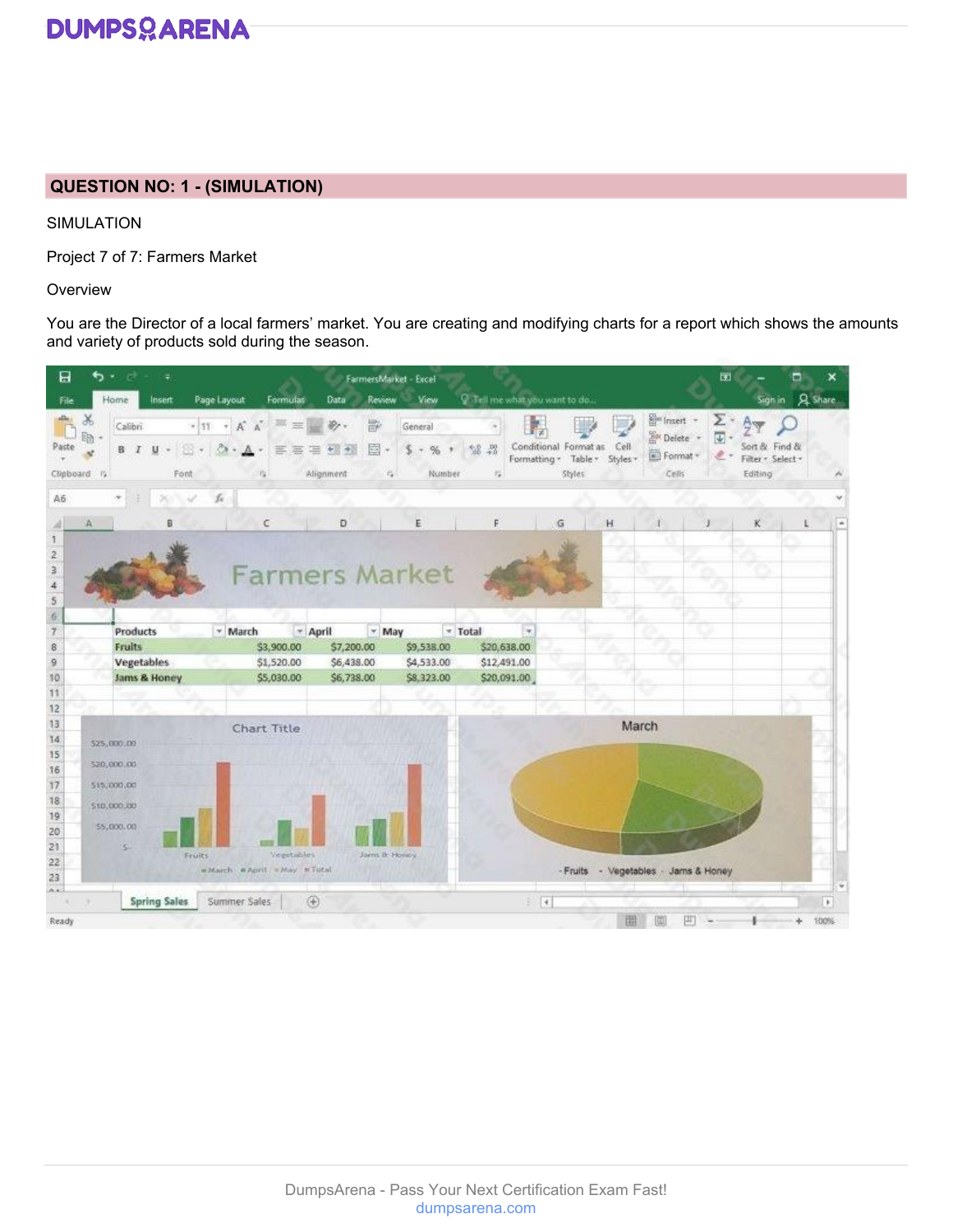#### **QUESTION NO: 1 - (SIMULATION)**

SIMULATION

Project 7 of 7: Farmers Market

**Overview** 

You are the Director of a local farmers' market. You are creating and modifying charts for a report which shows the amounts and variety of products sold during the season.

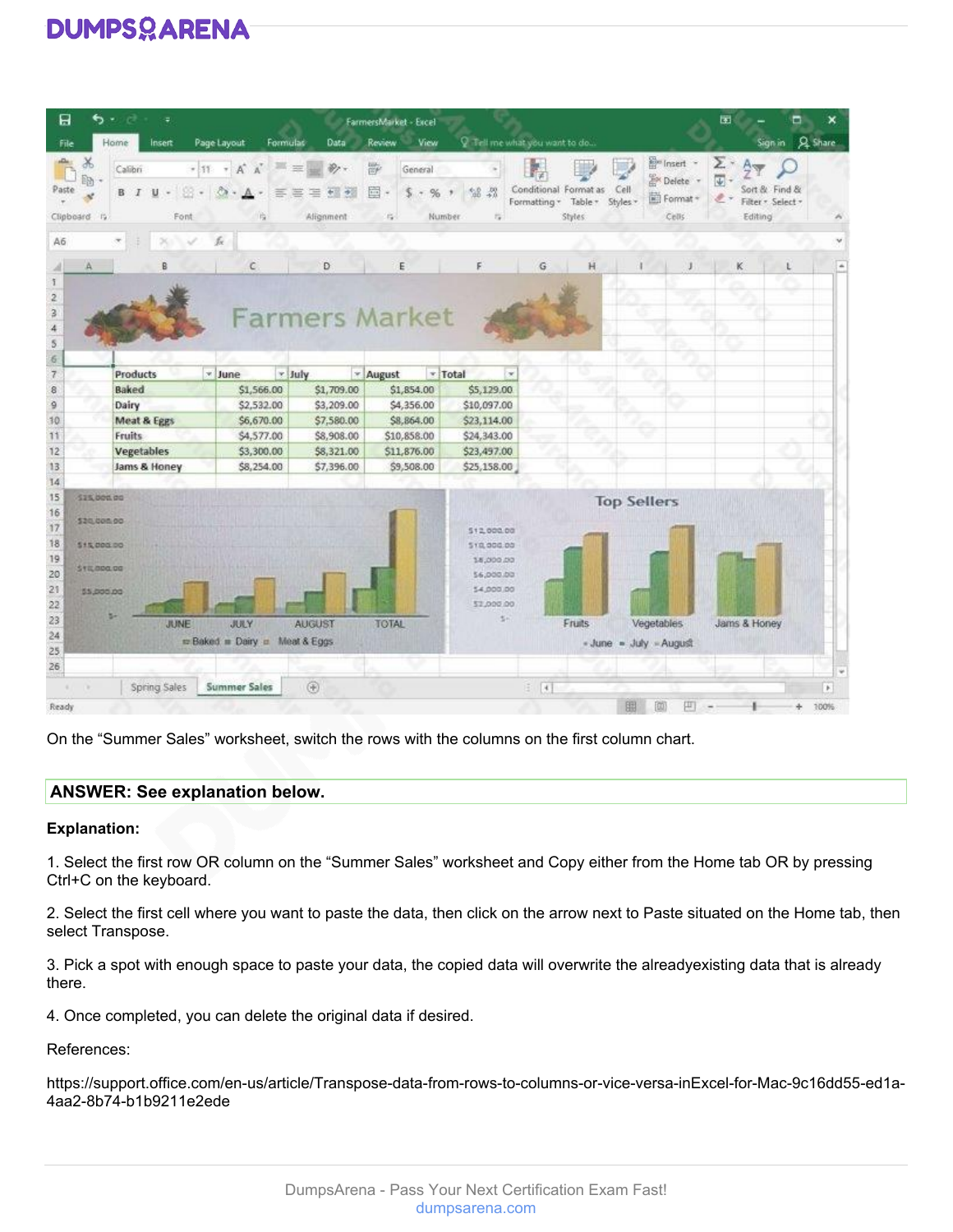| 日<br>File                                    | ຣ∗<br>Home                                                                        | Ψ<br>Insert          | Page Layout<br>Formulat                          | Data                                                              | FarmersMarket - Excel<br>Review<br>View               |                                                                                | Q Tell me what you want to do                               |                        |                                                                  | 困                                      | Sign in Q. Share                   |              |
|----------------------------------------------|-----------------------------------------------------------------------------------|----------------------|--------------------------------------------------|-------------------------------------------------------------------|-------------------------------------------------------|--------------------------------------------------------------------------------|-------------------------------------------------------------|------------------------|------------------------------------------------------------------|----------------------------------------|------------------------------------|--------------|
| Paste                                        | Y,<br>Calibri<br>晒<br>B I<br>Clipboard I'v                                        | $\mathsf{U}$<br>Font | $-11$ $+$ $A$ $A$<br><b>All age</b><br>害害<br>度   | $\mathcal{D}_{\mathcal{F}}$<br>窐<br>$+1$<br><b>小</b><br>Alignment | 鄙<br>General<br>回·<br>%<br>S.<br>×<br>Number<br>$-12$ | $-28$<br>58<br>採                                                               | Conditional Format as<br>Table -<br>Formatting -<br>Styles: | Cell<br>Styles *       | E <sup>le</sup> Insert -<br><b>E</b> Delete<br>E Format<br>Cells | Σ<br>$\overline{\Psi}$<br>e<br>Editing | Sort & Find &<br>Filter - Select - |              |
| A6                                           |                                                                                   | $\omega^*$<br>メディ    | k                                                |                                                                   |                                                       |                                                                                |                                                             |                        |                                                                  |                                        |                                    |              |
|                                              |                                                                                   |                      | C                                                | D                                                                 | E                                                     |                                                                                | G                                                           | Н                      | и                                                                | κ                                      |                                    |              |
| $\overline{2}$<br>з<br>$\overline{4}$<br>5   |                                                                                   |                      |                                                  |                                                                   | <b>Farmers Market</b>                                 |                                                                                |                                                             |                        |                                                                  | L.D                                    |                                    |              |
| 6<br>$\overline{7}$                          |                                                                                   | <b>Products</b>      | * June                                           | y July                                                            | Total<br>* August                                     | $\sim$                                                                         | o                                                           |                        |                                                                  |                                        |                                    |              |
| 8                                            | Baked                                                                             |                      | \$1,566.00                                       | \$1,709.00                                                        | \$1,854.00                                            | \$5,129.00                                                                     |                                                             |                        |                                                                  |                                        |                                    |              |
| 9                                            | Dairy                                                                             |                      | \$2,532.00                                       | \$3,209.00                                                        | \$4,356.00                                            | \$10,097.00                                                                    |                                                             |                        |                                                                  |                                        |                                    |              |
| 30                                           |                                                                                   | Meat & Eggs          | \$6,670.00                                       | \$7,580.00                                                        | \$8,864.00                                            | \$23,114.00                                                                    |                                                             |                        |                                                                  |                                        |                                    |              |
| 11                                           | <b>Fruits</b>                                                                     |                      | \$4,577.00                                       | \$8,908.00                                                        | \$10,858.00                                           | \$24,343.00                                                                    |                                                             |                        |                                                                  |                                        |                                    |              |
| 12                                           |                                                                                   | <b>Vegetables</b>    | \$3,300.00                                       | 58,321.00                                                         | \$11,876.00                                           | \$23,497.00                                                                    |                                                             |                        |                                                                  |                                        |                                    |              |
| 13                                           |                                                                                   | Jams & Honey         | \$8,254.00                                       | \$7,396.00                                                        | \$9,508.00                                            | \$25,158.00                                                                    |                                                             |                        |                                                                  |                                        |                                    |              |
| 14                                           |                                                                                   |                      |                                                  |                                                                   |                                                       |                                                                                |                                                             |                        |                                                                  |                                        |                                    |              |
| 15<br>16<br>17<br>18<br>19<br>20<br>21<br>22 | \$15,000.00<br><b>\$20,000.00</b><br>515,000.00<br><b>STILBOO.DO</b><br>55,000.00 |                      |                                                  |                                                                   |                                                       | 512,000.00<br>510,000.00<br>18,000.00<br>\$6,000.00<br>54,000.00<br>\$2,000.00 |                                                             | <b>Top Sellers</b>     |                                                                  |                                        |                                    |              |
| 23<br>24<br>25<br>26                         |                                                                                   | <b>JUNE</b>          | <b>JULY</b><br>re Baked in Dairy in Meat & Eggs. | <b>AUGUST</b>                                                     | <b>TOTAL</b>                                          | $5 -$                                                                          | Fruits                                                      | - June - July - August | Vegetables                                                       | Jams & Honey                           |                                    |              |
| ٠                                            | n.                                                                                | Spring Sales         | <b>Summer Sales</b>                              | $\circledR$                                                       |                                                       |                                                                                | $\pm$ [4]                                                   |                        |                                                                  |                                        |                                    | $\mathbf{F}$ |
| Ready                                        |                                                                                   |                      |                                                  |                                                                   |                                                       |                                                                                |                                                             |                        |                                                                  |                                        |                                    | 100%         |

On the "Summer Sales" worksheet, switch the rows with the columns on the first column chart.

#### **ANSWER: See explanation below.**

#### **Explanation:**

1. Select the first row OR column on the "Summer Sales" worksheet and Copy either from the Home tab OR by pressing Ctrl+C on the keyboard.

2. Select the first cell where you want to paste the data, then click on the arrow next to Paste situated on the Home tab, then select Transpose.

3. Pick a spot with enough space to paste your data, the copied data will overwrite the alreadyexisting data that is already there.

4. Once completed, you can delete the original data if desired.

#### References:

https://support.office.com/en-us/article/Transpose-data-from-rows-to-columns-or-vice-versa-inExcel-for-Mac-9c16dd55-ed1a-4aa2-8b74-b1b9211e2ede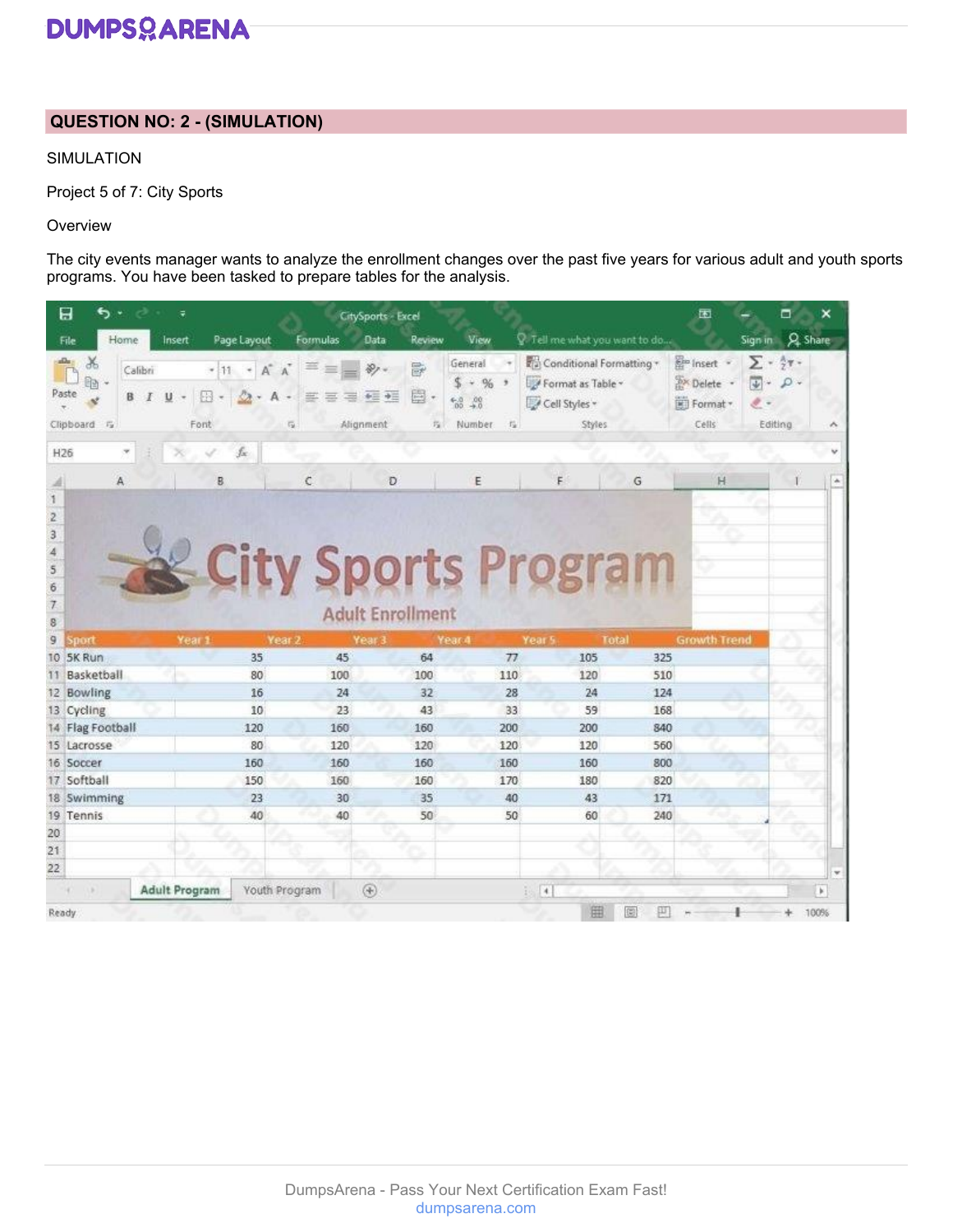#### **QUESTION NO: 2 - (SIMULATION)**

#### SIMULATION

Project 5 of 7: City Sports

#### **Overview**

The city events manager wants to analyze the enrollment changes over the past five years for various adult and youth sports programs. You have been tasked to prepare tables for the analysis.

|                       | 日<br>ь                       |              |                      |                        |                                  | CitySports - Excel                           |                                                                            |                                                                          |            | 困                                                           | ▫                                                                                       | ×            |
|-----------------------|------------------------------|--------------|----------------------|------------------------|----------------------------------|----------------------------------------------|----------------------------------------------------------------------------|--------------------------------------------------------------------------|------------|-------------------------------------------------------------|-----------------------------------------------------------------------------------------|--------------|
|                       | Home<br>File                 | Insert       |                      | Page Layout            | Formulas                         | Data                                         | View<br>Review                                                             | Tell me what you want to do                                              |            |                                                             | Sign in Q Share                                                                         |              |
| Paste                 | X<br>8d<br>в<br>Clipboard Fa | Calibri<br>U | 團<br>Font            | $+11 + A A$<br>$2 - A$ | ≕<br>票要<br>毒<br>$\overline{r_2}$ | 影<br>邑 -<br>中三 中三<br>Alignment               | General<br>\$<br>$-96$<br>$^{6.0}_{60}$ $^{40}_{40}$<br>指<br>Number.<br>一程 | Conditional Formatting +<br>Format as Table ~<br>Cell Styles -<br>Styles |            | <b>Em</b> Insert -<br><b>Sx</b> Delete<br>Format *<br>Cells | $\Sigma$ - $\frac{5}{77}$ -<br>$\downarrow$ -<br>$\mathcal{L}$ .<br>$\ell$ .<br>Editing |              |
| H26                   |                              |              |                      | fx.                    |                                  |                                              |                                                                            |                                                                          |            |                                                             |                                                                                         |              |
|                       | A                            |              | B                    |                        | Ċ                                | Ð                                            | E                                                                          | F                                                                        | G          | H                                                           |                                                                                         |              |
| 6<br>$\tau$<br>8<br>9 | sport                        |              | Year 1               |                        | Year 2                           | <b>Adult Enrollment</b><br>Year <sub>3</sub> | <b>E City Sports Program</b><br>Year 4                                     | Year 5                                                                   | Total      | <b>Growth Trend</b>                                         |                                                                                         |              |
|                       | 10 5K Run<br>Basketball      |              |                      | 35<br>80               | 45<br>100                        | 100                                          | 64<br>77<br>110                                                            | 105<br>120                                                               | 325<br>510 |                                                             |                                                                                         |              |
|                       | 12 Bowling                   |              |                      | 16                     | 24                               |                                              | 32<br>28                                                                   | 24                                                                       | 124        |                                                             |                                                                                         |              |
|                       | 13 Cycling                   |              |                      | 10                     | 23                               | 43                                           | 33                                                                         | 59                                                                       | 168        |                                                             |                                                                                         |              |
|                       | 14 Flag Football             |              |                      | 120                    | 160                              | 160                                          | 200                                                                        | 200                                                                      | 840        |                                                             |                                                                                         |              |
|                       | 15 Lacrosse                  |              |                      | 80                     | 120                              | 120                                          | 120                                                                        | 120                                                                      | 560        |                                                             |                                                                                         |              |
|                       | 16 Soccer                    |              |                      | 160                    | 160                              | 160                                          | 160                                                                        | 160                                                                      | 800        |                                                             |                                                                                         |              |
|                       | 17 Softball                  |              |                      | 150                    | 160                              | 160                                          | 170                                                                        | 180                                                                      | 820        |                                                             |                                                                                         |              |
|                       | 18 Swimming                  |              |                      | 23                     | 30                               | 35                                           | 40                                                                         | 43                                                                       | 171        |                                                             |                                                                                         |              |
|                       | 19 Tennis                    |              |                      | 40                     | 40                               | 50                                           | 50                                                                         | 60                                                                       | 240        |                                                             |                                                                                         |              |
| 20                    |                              |              |                      |                        |                                  |                                              |                                                                            |                                                                          |            |                                                             |                                                                                         |              |
| 21                    |                              |              |                      |                        |                                  |                                              |                                                                            |                                                                          |            |                                                             |                                                                                         |              |
| 22                    |                              |              |                      |                        |                                  |                                              |                                                                            |                                                                          |            |                                                             |                                                                                         | v            |
|                       |                              |              | <b>Adult Program</b> |                        | Youth Program                    | $^{\circledR}$                               |                                                                            | $-4$                                                                     |            |                                                             |                                                                                         | $\mathbf{b}$ |
| Ready.                |                              |              |                      |                        |                                  |                                              |                                                                            | 囲                                                                        | 鸱          |                                                             |                                                                                         | 100%         |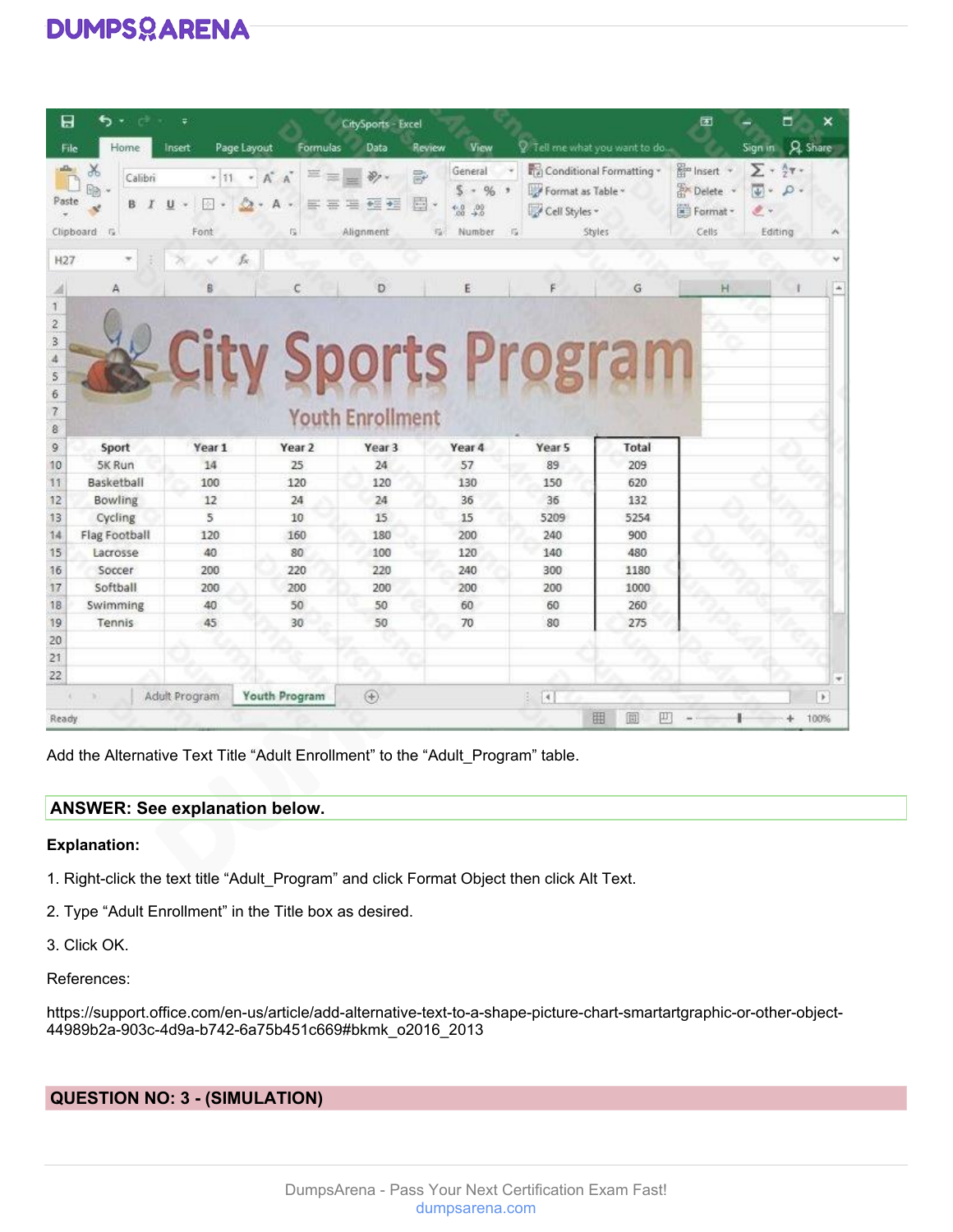| 日                             |                                    | Ψ                     |                                                 | <b>CitySports - Excel</b>         |                                                                    |                                                       |                                    | 团                                                             | ×<br>▭                                                                                        |
|-------------------------------|------------------------------------|-----------------------|-------------------------------------------------|-----------------------------------|--------------------------------------------------------------------|-------------------------------------------------------|------------------------------------|---------------------------------------------------------------|-----------------------------------------------------------------------------------------------|
| File                          | Home                               | Page Layout<br>Insert | Formulas                                        | Data                              | View<br>Review                                                     |                                                       | 2. Tell me what you want to do     |                                                               | <b>A</b> Share<br>Sign in                                                                     |
| Paste                         | Y,<br>Calibri<br>B.<br>Clipboard G | U<br>巫<br>Font        | $+11 + A^A$<br>A<br>三<br>垩<br>$\sim$<br>烏       | 霹<br>圓<br>座<br>中国 中国<br>Alignment | General<br>%<br>s.<br>×<br>$^{4.0}_{20}$<br>$^{+0}$<br>瑞<br>Number | Format as Table -<br>Cell Styles -<br>$-1\frac{1}{2}$ | Conditional Formatting *<br>Styles | <b>R</b> <sup>m</sup> Insert +<br>Delete<br>Format -<br>Cells | $\Sigma$ + $\frac{1}{2}$ y +<br>$\overline{\psi}$ -<br>$\rho$ .<br>$\mathscr{F}$ .<br>Editing |
| H <sub>27</sub>               |                                    | fx                    |                                                 |                                   |                                                                    |                                                       |                                    |                                                               |                                                                                               |
|                               | A                                  | ß                     | c                                               | Ð                                 | Ë                                                                  |                                                       | Ğ                                  | H                                                             |                                                                                               |
| 6<br>$\overline{z}$<br>8<br>9 | Sport                              | Year 1                | <b>City Sports Program</b><br>Year <sub>2</sub> | <b>Youth Enrollment</b><br>Year 3 | Year 4                                                             | Year <sub>5</sub>                                     | Total                              |                                                               |                                                                                               |
| 10                            | 5K Run                             | 14                    | 25                                              | 24                                | 57                                                                 | 89                                                    | 209                                |                                                               |                                                                                               |
| 11                            | Basketball                         | 100                   | 120                                             | 120                               | 130                                                                | 150                                                   | 620                                |                                                               |                                                                                               |
| 12                            | Bowling                            | 12                    | 24                                              | 24                                | 36                                                                 | 36                                                    | 132                                |                                                               |                                                                                               |
| 13                            | Cycling                            | 5                     | 10                                              | 15                                | 15                                                                 | 5209                                                  | 5254                               |                                                               |                                                                                               |
| 14                            | Flag Football                      | 120                   | 160                                             | 180                               | 200                                                                | 240                                                   | 900                                |                                                               |                                                                                               |
| 15                            | Lacrosse                           | 40                    | 80                                              | 100                               | 120                                                                | 140                                                   | 480                                |                                                               |                                                                                               |
| 16                            | Soccer                             | 200                   | 220                                             | 220                               | 240                                                                | 300                                                   | 1180                               |                                                               |                                                                                               |
| 17                            | Softball                           | 200                   | 200                                             | 200                               | 200                                                                | 200                                                   | 1000                               |                                                               |                                                                                               |
| 18                            | Swimming                           | 40                    | 50                                              | 50                                | 60                                                                 | 60                                                    | 260                                |                                                               |                                                                                               |
| 19                            | Tennis                             | 45                    | 30                                              | 50                                | 70                                                                 | 80                                                    | 275                                |                                                               |                                                                                               |
| 20                            |                                    |                       |                                                 |                                   |                                                                    |                                                       |                                    |                                                               |                                                                                               |
| 21                            |                                    |                       |                                                 |                                   |                                                                    |                                                       |                                    |                                                               |                                                                                               |
| 22                            |                                    |                       |                                                 |                                   |                                                                    |                                                       |                                    |                                                               | ×                                                                                             |
|                               |                                    | Adult Program         | Youth Program                                   | $\circledast$                     |                                                                    | $\left\lceil 4 \right\rceil$<br>ö.                    |                                    |                                                               | $\rightarrow$                                                                                 |
| Ready                         |                                    |                       |                                                 |                                   |                                                                    |                                                       | 囲<br>個<br>π                        |                                                               | 100%                                                                                          |

Add the Alternative Text Title "Adult Enrollment" to the "Adult\_Program" table.

#### **ANSWER: See explanation below.**

#### **Explanation:**

- 1. Right-click the text title "Adult\_Program" and click Format Object then click Alt Text.
- 2. Type "Adult Enrollment" in the Title box as desired.
- 3. Click OK.
- References:

https://support.office.com/en-us/article/add-alternative-text-to-a-shape-picture-chart-smartartgraphic-or-other-object-44989b2a-903c-4d9a-b742-6a75b451c669#bkmk\_o2016\_2013

#### **QUESTION NO: 3 - (SIMULATION)**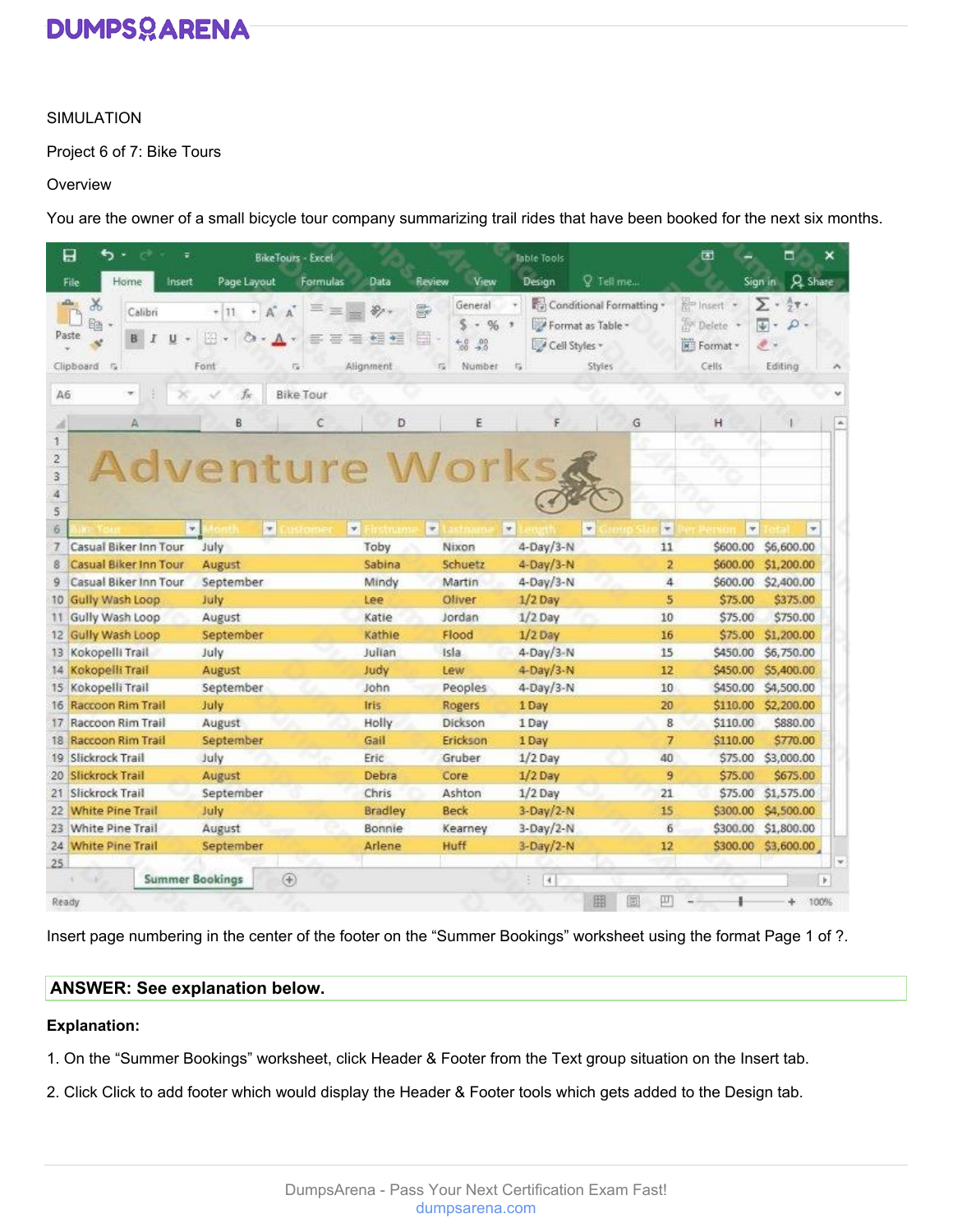#### SIMULATION

Project 6 of 7: Bike Tours

#### **Overview**

You are the owner of a small bicycle tour company summarizing trail rides that have been booked for the next six months.

| 日<br>ぅ<br>÷<br>$\rightarrow$                              | <b>BikeTours - Excel</b>                                               |                            |                                                                                                  | <b>Table Tools</b>                        |                                           | 团                                                               | $\blacksquare$<br>×                                                                      |
|-----------------------------------------------------------|------------------------------------------------------------------------|----------------------------|--------------------------------------------------------------------------------------------------|-------------------------------------------|-------------------------------------------|-----------------------------------------------------------------|------------------------------------------------------------------------------------------|
| Home<br>File<br>Insert                                    | Page Layout<br>Formulas                                                | Data                       | View<br>Review                                                                                   | Design                                    | Q Tell me                                 |                                                                 | Sign in Q Share                                                                          |
| X<br>Calibri<br>Gđ<br>Paste<br>U<br>в<br>Ι<br>Clipboard 5 | $A^* A$<br>$+11$<br>÷.<br>四<br><b>D</b><br>$\mathcal{L}$<br>Font<br>Eü | D.<br>$+ = +$<br>Alignment | General<br>g.<br>s<br>$%$ $*$<br>-41<br>畠<br>$^{+6}$<br>$^{00}_{+0}$<br>$\overline{G}$<br>Number | Format as Table -<br>Cell Styles<br>$\pi$ | Conditional Formatting *<br><b>Styles</b> | <b>Relinseit +</b><br><sup>20</sup> Defete<br>Format -<br>Cells | $\Sigma \cdot \frac{1}{2}$<br>$\overline{\psi}$ -<br>$\Omega$ -<br>$\theta$ .<br>Editing |
| A6<br>v.                                                  | fx.<br><b>Bike Tour</b>                                                |                            |                                                                                                  |                                           |                                           |                                                                 |                                                                                          |
| Α                                                         | C<br>8                                                                 | D                          | E                                                                                                | F                                         | G                                         | H                                                               | $\mathcal{L}_{\mathcal{C}}$                                                              |
| 1.<br>$\frac{2}{3}$<br>4<br>5                             | Adventure Works                                                        |                            |                                                                                                  |                                           |                                           |                                                                 |                                                                                          |
| ×<br>6                                                    | $\overline{\phantom{a}}$                                               | ÷.                         | $\sim$                                                                                           | $\approx$                                 | $\sim$<br>÷                               | $\frac{1}{\sqrt{2}}$                                            | $\equiv$                                                                                 |
| Casual Biker Inn Tour<br>7.<br>Casual Biker Inn Tour<br>8 | July<br>August                                                         | Toby<br>Sabina             | Nixon<br>Schuetz                                                                                 | $4-Day/3-N$<br>4-Day/3-N                  | 11<br>$\overline{2}$                      | \$600.00<br>\$600.00                                            | \$6,600.00<br>\$1,200.00                                                                 |
| Casual Biker Inn Tour<br>9                                | September                                                              | Mindy                      | Martin                                                                                           | 4-Day/3-N                                 | 4                                         | \$600.00                                                        | \$2,400.00                                                                               |
| Gully Wash Loop<br>10.                                    | July                                                                   | Lee                        | Oliver                                                                                           | $1/2$ Day                                 | 5                                         | \$75.00                                                         | \$375.00                                                                                 |
| Gully Wash Loop<br>н                                      | August                                                                 | Katie                      | Jordan                                                                                           | $1/2$ Day                                 | 10                                        | \$75.00                                                         | \$750.00                                                                                 |
| Gully Wash Loop<br>12.                                    | September                                                              | Kathie                     | Flood                                                                                            | $1/2$ Day                                 | 16                                        | \$75.00                                                         | \$1,200.00                                                                               |
| Kokopelli Trail<br>13                                     | July                                                                   | Julian                     | Isla                                                                                             | 4-Day/3-N                                 | 15                                        | \$450.00                                                        | \$6,750.00                                                                               |
| Kokopelli Trail<br>14                                     | August                                                                 | Judy                       | Lew                                                                                              | 4-Day/3-N                                 | 12                                        | \$450.00                                                        | \$5,400.00                                                                               |
| Kokopelli Trail<br>15 <sub>1</sub>                        | September                                                              | John                       | Peoples                                                                                          | 4-Day/3-N                                 | 10                                        | \$450.00                                                        | \$4,500.00                                                                               |
| Raccoon Rim Trail<br>16                                   | July                                                                   | <b>Iris</b>                | Rogers                                                                                           | 1 Day                                     | 20                                        | \$110.00                                                        | \$2,200.00                                                                               |
| Raccoon Rim Trail<br>17.                                  | August                                                                 | Holly                      | Dickson                                                                                          | 1 Day                                     | 8                                         | \$110.00                                                        | \$880.00                                                                                 |
| 18 Raccoon Rim Trail                                      | September                                                              | Gail                       | Erickson                                                                                         | 1 Day                                     | $\overline{7}$                            | \$110.00                                                        | \$770.00                                                                                 |
| 19 Slickrock Trail                                        | July                                                                   | Eric                       | Gruber                                                                                           | $1/2$ Day                                 | 40                                        | \$75.00                                                         | \$3,000.00                                                                               |
| 20 Slickrock Trail                                        | August                                                                 | Debra                      | Core                                                                                             | $1/2$ Day                                 | 9                                         | \$75.00                                                         | \$675.00                                                                                 |
| 21 Slickrock Trail                                        | September                                                              | Chris                      | Ashton                                                                                           | $1/2$ Day                                 | 21                                        | \$75.00                                                         | \$1,575.00                                                                               |
| <b>White Pine Trail</b><br>$22 -$                         | July                                                                   | <b>Bradley</b>             | <b>Beck</b>                                                                                      | $3-Day/2-N$                               | 15                                        | \$300.00                                                        | \$4,500.00                                                                               |
| 23 White Pine Trail                                       | August                                                                 | Bonnie                     | Kearney                                                                                          | $3-Day/2-N$                               | 6                                         | \$300.00                                                        | \$1,800.00                                                                               |
| 24 White Pine Trail                                       | September                                                              | Arlene                     | Huff                                                                                             | 3-Day/2-N                                 | 12                                        | \$300.00                                                        | \$3,600.00                                                                               |
| 25                                                        |                                                                        |                            |                                                                                                  |                                           |                                           |                                                                 |                                                                                          |
|                                                           | (F)<br><b>Summer Bookings</b>                                          |                            |                                                                                                  | $= 14$                                    |                                           |                                                                 | $\mathbf{r}$                                                                             |
| Ready                                                     |                                                                        |                            |                                                                                                  |                                           | 囲<br>閲<br>ш                               |                                                                 | 100%<br>÷.                                                                               |

Insert page numbering in the center of the footer on the "Summer Bookings" worksheet using the format Page 1 of ?.

#### **ANSWER: See explanation below.**

#### **Explanation:**

- 1. On the "Summer Bookings" worksheet, click Header & Footer from the Text group situation on the Insert tab.
- 2. Click Click to add footer which would display the Header & Footer tools which gets added to the Design tab.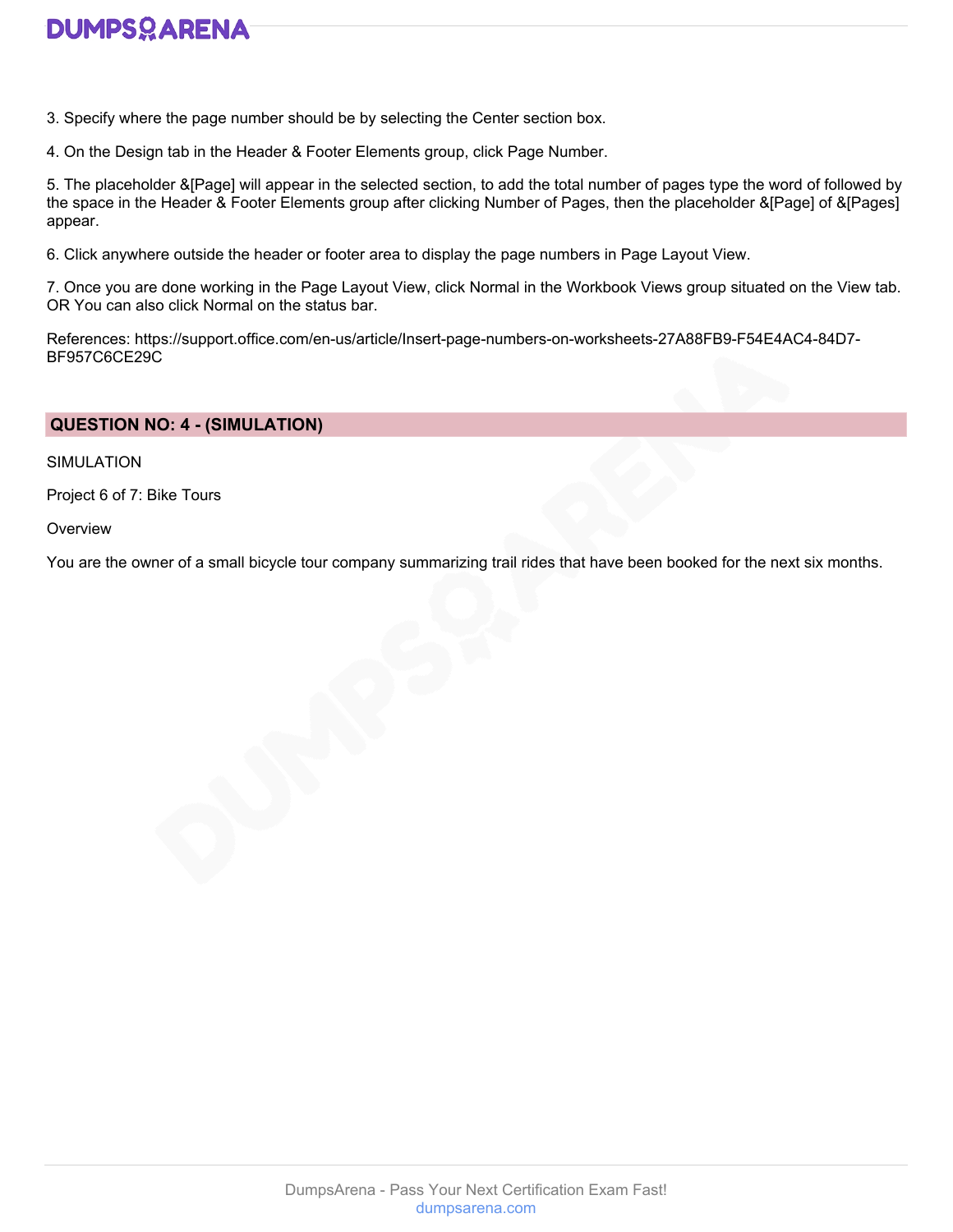3. Specify where the page number should be by selecting the Center section box.

4. On the Design tab in the Header & Footer Elements group, click Page Number.

5. The placeholder &[Page] will appear in the selected section, to add the total number of pages type the word of followed by the space in the Header & Footer Elements group after clicking Number of Pages, then the placeholder &[Page] of &[Pages] appear.

6. Click anywhere outside the header or footer area to display the page numbers in Page Layout View.

7. Once you are done working in the Page Layout View, click Normal in the Workbook Views group situated on the View tab. OR You can also click Normal on the status bar.

References: https://support.office.com/en-us/article/Insert-page-numbers-on-worksheets-27A88FB9-F54E4AC4-84D7- BF957C6CE29C

#### **QUESTION NO: 4 - (SIMULATION)**

SIMULATION

Project 6 of 7: Bike Tours

**Overview** 

You are the owner of a small bicycle tour company summarizing trail rides that have been booked for the next six months.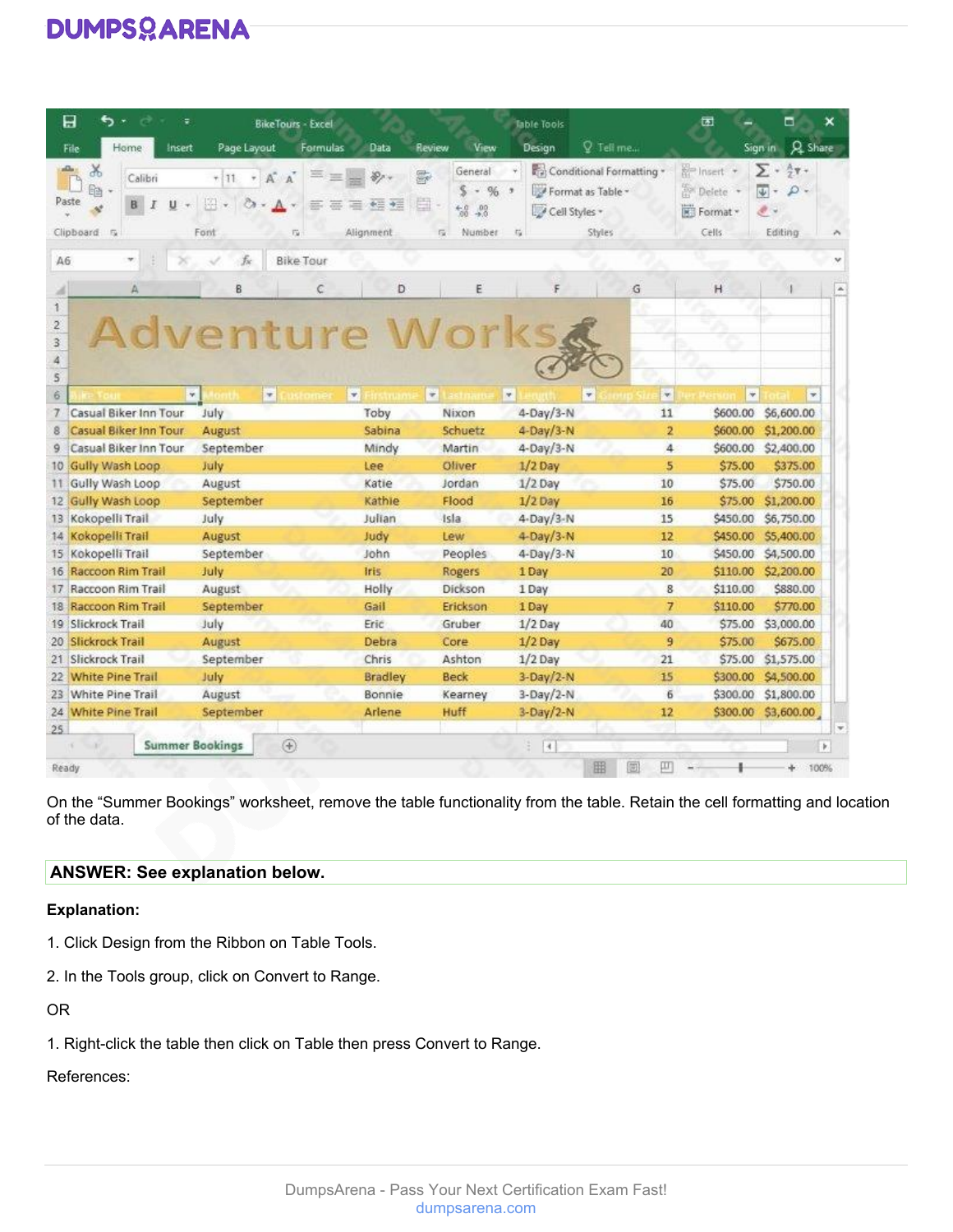| 日                                                              | ь.<br>÷                                        |                                                    | <b>BikeTours - Excel</b> |                                                          |                                                                                            | <b>Table Tools</b>                                   |                                           | 团                                                    | ▭<br>×                                                                                  |
|----------------------------------------------------------------|------------------------------------------------|----------------------------------------------------|--------------------------|----------------------------------------------------------|--------------------------------------------------------------------------------------------|------------------------------------------------------|-------------------------------------------|------------------------------------------------------|-----------------------------------------------------------------------------------------|
| File                                                           | Home<br>Insert                                 | Page Layout                                        | Formulas                 | Data                                                     | View<br>Review                                                                             | Design                                               | Q Tell me                                 |                                                      | Sign in Q Share                                                                         |
| X<br>Ga<br>Paste<br>Clipboard 5                                | Calibri<br>u<br>B<br>I                         | $A^* A$<br>$+111$<br>÷.<br>四<br>$A$ $\sim$<br>Font | ذ<br>蘯<br>Eü.            | $\mathcal{D}_{\mathcal{F}}$<br>新田<br>瀟<br>主<br>Alignment | General<br>g,<br>s<br>$-96.7$<br>畠<br>$^{+6}$<br>$^{00}_{+00}$<br>Number<br>$\overline{u}$ | Format as Table -<br>Cell Styles -<br>$\overline{u}$ | Conditional Formatting *<br><b>Styles</b> | <b>Relinsert</b> +<br>Delete +<br>Format -<br>Cells. | $\frac{A}{2}$ $\mathbf{Y}$ +<br>Σ٠<br>$ \Psi $ -<br>$\Omega$ -<br>$\theta$ .<br>Editing |
| A6                                                             |                                                | fx                                                 | <b>Bike Tour</b>         |                                                          |                                                                                            |                                                      |                                           |                                                      |                                                                                         |
| 1.                                                             | Α                                              | B                                                  | Ċ                        | D                                                        | E                                                                                          | F                                                    | G                                         | H                                                    |                                                                                         |
| $\frac{2}{3}$<br>4<br>5                                        |                                                | <b>Adventure Works</b>                             |                          |                                                          |                                                                                            |                                                      |                                           |                                                      |                                                                                         |
| 6                                                              |                                                | $\frac{1}{2}$<br>$\frac{1}{2}$                     |                          | $\overline{\mathbf{v}}$                                  | $\frac{1}{\sqrt{2}}$                                                                       | $\sim$                                               | $\sim$<br>÷                               | $\frac{1}{\sqrt{2}}$                                 | $\overline{\phantom{a}}$                                                                |
| 7<br>8                                                         | Casual Biker Inn Tour<br>Casual Biker Inn Tour | July                                               |                          | Toby                                                     | Nixon<br>Schuetz                                                                           | $4-Day/3-N$<br>4-Day/3-N                             | 11                                        | \$600.00<br>$\overline{2}$<br>\$600.00               | \$6,600.00<br>\$1,200.00                                                                |
| 9                                                              | Casual Biker Inn Tour                          | August<br>September                                |                          | Sabina<br>Mindy                                          | Martin                                                                                     | 4-Day/3-N                                            |                                           | 4<br>\$600.00                                        | \$2,400.00                                                                              |
|                                                                | 10 Gully Wash Loop                             | July                                               |                          | Lee                                                      | Oliver                                                                                     | $1/2$ Day                                            |                                           | 5<br>\$75.00                                         | \$375.00                                                                                |
| н                                                              | Gully Wash Loop                                | August                                             |                          | Katie                                                    | Jordan                                                                                     | $1/2$ Day                                            | 10                                        | \$75.00                                              | \$750.00                                                                                |
|                                                                | 12 Gully Wash Loop                             | September                                          |                          | Kathie                                                   | Flood                                                                                      | $1/2$ Day                                            | 16                                        | \$75.00                                              | \$1,200.00                                                                              |
| 13 Kokopelli Trail                                             |                                                | July                                               |                          | Julian                                                   | <b>Isla</b>                                                                                | 4-Day/3-N                                            | 15                                        | \$450.00                                             | \$6,750.00                                                                              |
| 14 Kokopelli Trail                                             |                                                | August                                             |                          | Judy                                                     | Lew                                                                                        | 4-Day/3-N                                            | 12                                        | \$450.00                                             | \$5,400.00                                                                              |
| 15 Kokopelli Trail                                             |                                                |                                                    |                          |                                                          |                                                                                            |                                                      |                                           |                                                      |                                                                                         |
|                                                                |                                                | September                                          |                          | John                                                     | Peoples                                                                                    |                                                      | 10                                        | \$450.00                                             | \$4,500.00                                                                              |
|                                                                | 16 Raccoon Rim Trail                           | July                                               |                          | Iris                                                     | Rogers                                                                                     | $4-Day/3-N$<br>1 Day                                 | 20                                        | \$110.00                                             | \$2,200.00                                                                              |
|                                                                | 17 Raccoon Rim Trail                           | August                                             |                          | Holly                                                    | Dickson                                                                                    | 1 Day                                                |                                           | 8<br>\$110.00                                        | \$880.00                                                                                |
|                                                                | 18 Raccoon Rim Trail                           | September                                          |                          | Gail                                                     | Erickson                                                                                   | 1 Day                                                |                                           | 7<br>\$110.00                                        | \$770.00                                                                                |
|                                                                |                                                | July                                               |                          | Eric                                                     | Gruber                                                                                     | $1/2$ Day                                            | 40                                        | \$75.00                                              | \$3,000.00                                                                              |
|                                                                |                                                | August                                             |                          | Debra                                                    | Core                                                                                       | $1/2$ Day                                            |                                           | $\overline{9}$<br>\$75.00                            | \$675.00                                                                                |
|                                                                |                                                | September                                          |                          | Chris                                                    | Ashton                                                                                     | $1/2$ Day                                            | 21                                        | \$75.00                                              | \$1,575.00                                                                              |
|                                                                | 22 White Pine Trail                            | July                                               |                          | <b>Bradley</b>                                           | <b>Beck</b>                                                                                | $3-Day/2-N$                                          | 15                                        | \$300.00                                             | \$4,500.00                                                                              |
|                                                                | 23 White Pine Trail                            | August                                             |                          | Bonnie                                                   | Kearney                                                                                    | $3-Day/2-N$                                          |                                           | 6<br>\$300.00                                        | \$1,800.00                                                                              |
| 19 Slickrock Trail<br>20 Slickrock Trail<br>21 Slickrock Trail | 24 White Pine Trail                            | September                                          |                          | Arlene                                                   | Huff                                                                                       | $3-Day/2-N$                                          | 12                                        | \$300.00                                             | \$3,600.00                                                                              |
| 25                                                             |                                                | <b>Summer Bookings</b><br>$\circledast$            |                          |                                                          |                                                                                            | $\overline{[4]}$                                     |                                           |                                                      |                                                                                         |

On the "Summer Bookings" worksheet, remove the table functionality from the table. Retain the cell formatting and location of the data.

#### **ANSWER: See explanation below.**

#### **Explanation:**

- 1. Click Design from the Ribbon on Table Tools.
- 2. In the Tools group, click on Convert to Range.

OR

1. Right-click the table then click on Table then press Convert to Range.

#### References: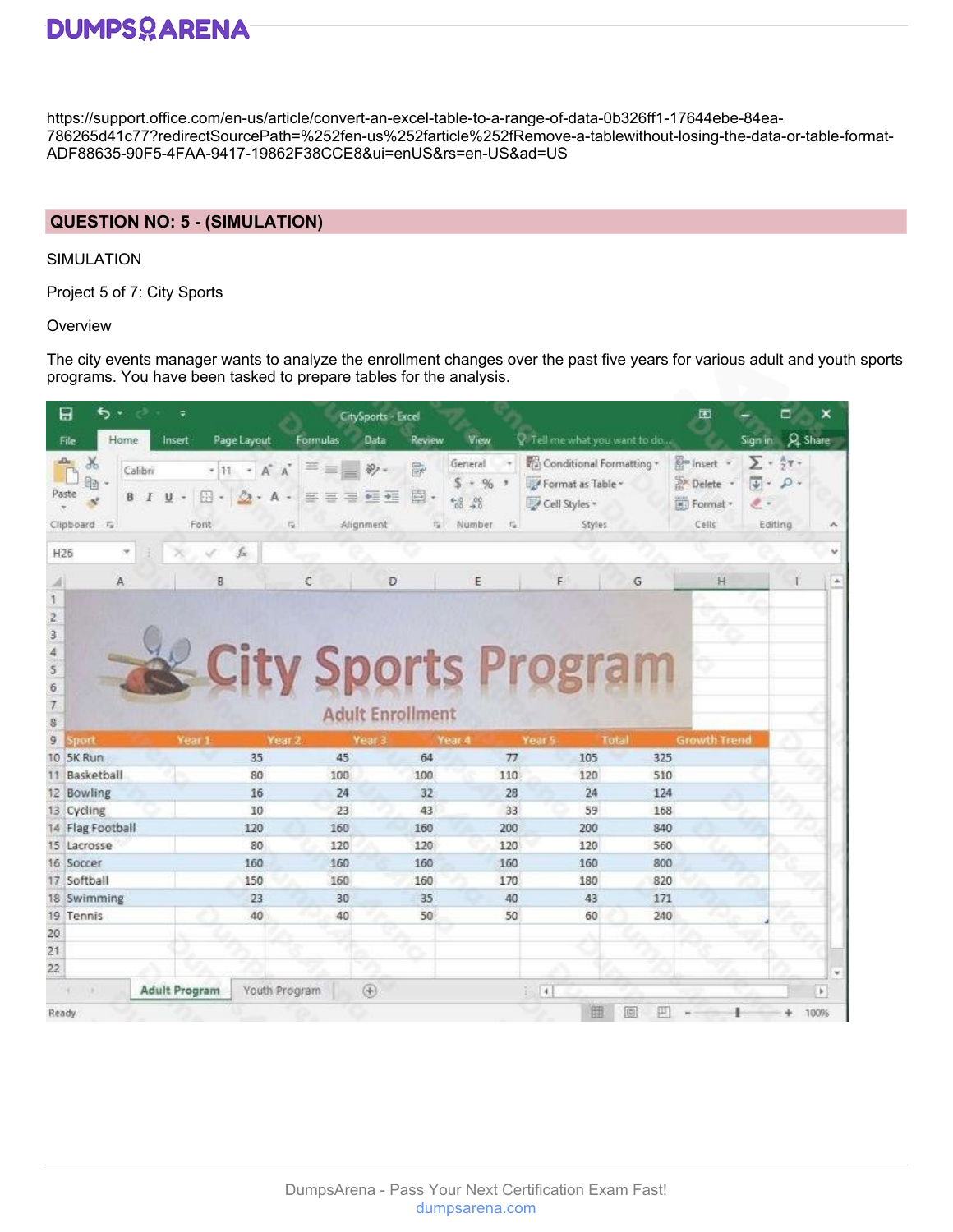https://support.office.com/en-us/article/convert-an-excel-table-to-a-range-of-data-0b326ff1-17644ebe-84ea-786265d41c77?redirectSourcePath=%252fen-us%252farticle%252fRemove-a-tablewithout-losing-the-data-or-table-format-ADF88635-90F5-4FAA-9417-19862F38CCE8&ui=enUS&rs=en-US&ad=US

#### **QUESTION NO: 5 - (SIMULATION)**

SIMULATION

Project 5 of 7: City Sports

**Overview** 

The city events manager wants to analyze the enrollment changes over the past five years for various adult and youth sports programs. You have been tasked to prepare tables for the analysis.

|                        | a<br>ҕ                                       |         | ÷                    |                        |                                 | CitySports - Excel                           |             |                                                                                     |                                                                          |              | 囨                                                           |                                                                      |                 | ×            |
|------------------------|----------------------------------------------|---------|----------------------|------------------------|---------------------------------|----------------------------------------------|-------------|-------------------------------------------------------------------------------------|--------------------------------------------------------------------------|--------------|-------------------------------------------------------------|----------------------------------------------------------------------|-----------------|--------------|
|                        | Home<br>File                                 |         | Insert               | Page Layout            | Formulas                        | Data                                         | Review      | View                                                                                | $\sqrt{2}$ . Tell me what you want to do                                 |              |                                                             |                                                                      | Sign in Q Share |              |
|                        | X<br>8d<br>Paste<br>B<br>Clipboard<br>$ F_2$ | Calibri | 四<br>U<br>Font       | $+11 + A^A$<br>$A - A$ | 実<br>罢<br>害<br>$\overline{r_2}$ | 中三 中三<br>写<br>Alignment                      | 影<br>圍<br>指 | General<br>S.<br>$-96$<br>$^{6.0}_{60}$ $^{40}_{40}$<br>Number.<br>$\Gamma_{\rm R}$ | Conditional Formatting +<br>Format as Table -<br>Cell Styles -<br>Styles |              | <b>Em</b> Insert -<br><b>Bx</b> Delete<br>Format *<br>Cells | $\Sigma$ - $\frac{5}{77}$ -<br>$\downarrow$ -<br>$\ell$ .<br>Editing | $\rho$ .        |              |
| H <sub>26</sub>        |                                              |         |                      | fx.                    |                                 |                                              |             |                                                                                     |                                                                          |              |                                                             |                                                                      |                 |              |
|                        | A                                            |         | B                    |                        | C                               | Ð                                            |             | E                                                                                   | F                                                                        | G            | H                                                           |                                                                      |                 |              |
| б<br>7<br>8<br>9<br>10 | sport<br>5K Run                              |         | Year 1               | 35                     | Year 2<br>45                    | <b>Adult Enrollment</b><br>Year <sub>3</sub> | 64          | Year 4<br>77                                                                        | <b>City Sports Program</b><br>Year 5<br>105                              | Total<br>325 | <b>Growth Trend</b>                                         |                                                                      |                 |              |
|                        | Basketball                                   |         |                      | 80                     | 100                             |                                              | 100         | 110                                                                                 | 120                                                                      | 510          |                                                             |                                                                      |                 |              |
|                        | 12 Bowling                                   |         |                      | 16                     | 24                              |                                              | 32          | 28                                                                                  | 24                                                                       | 124          |                                                             |                                                                      |                 |              |
|                        | 13 Cycling                                   |         |                      | 10                     | 23                              |                                              | 43          | 33                                                                                  | 59                                                                       | 168          |                                                             |                                                                      |                 |              |
|                        | 14 Flag Football                             |         |                      | 120                    | 160                             |                                              | 160         | 200                                                                                 | 200                                                                      | 840          |                                                             |                                                                      |                 |              |
|                        | 15 Lacrosse                                  |         |                      | 80                     | 120                             |                                              | 120         | 120                                                                                 | 120                                                                      | 560          |                                                             |                                                                      |                 |              |
|                        | 16 Soccer                                    |         |                      | 160                    | 160                             |                                              | 160         | 160                                                                                 | 160                                                                      | 800          |                                                             |                                                                      |                 |              |
|                        | 17 Softball                                  |         |                      | 150                    | 160                             |                                              | 160         | 170                                                                                 | 180                                                                      | 820          |                                                             |                                                                      |                 |              |
|                        | 18 Swimming                                  |         |                      | 23                     | 30                              |                                              | 35          | 40                                                                                  | 43                                                                       | 171          |                                                             |                                                                      |                 |              |
|                        | 19 Tennis                                    |         |                      | 40                     | 40                              |                                              | 50          | 50                                                                                  | 60                                                                       | 240          |                                                             |                                                                      |                 |              |
| 20                     |                                              |         |                      |                        |                                 |                                              |             |                                                                                     |                                                                          |              |                                                             |                                                                      |                 |              |
| 21                     |                                              |         |                      |                        |                                 |                                              |             |                                                                                     |                                                                          |              |                                                             |                                                                      |                 |              |
| 22                     |                                              |         |                      |                        |                                 |                                              |             |                                                                                     |                                                                          |              |                                                             |                                                                      |                 |              |
|                        |                                              |         | <b>Adult Program</b> |                        | Youth Program                   | $^{\circledR}$                               |             |                                                                                     | $\frac{1}{2}$ $\frac{1}{4}$                                              |              |                                                             |                                                                      |                 | $\mathbf{b}$ |
| Ready.                 |                                              |         |                      |                        |                                 |                                              |             |                                                                                     | 囲                                                                        | 隐<br>ш       |                                                             |                                                                      |                 | 100%         |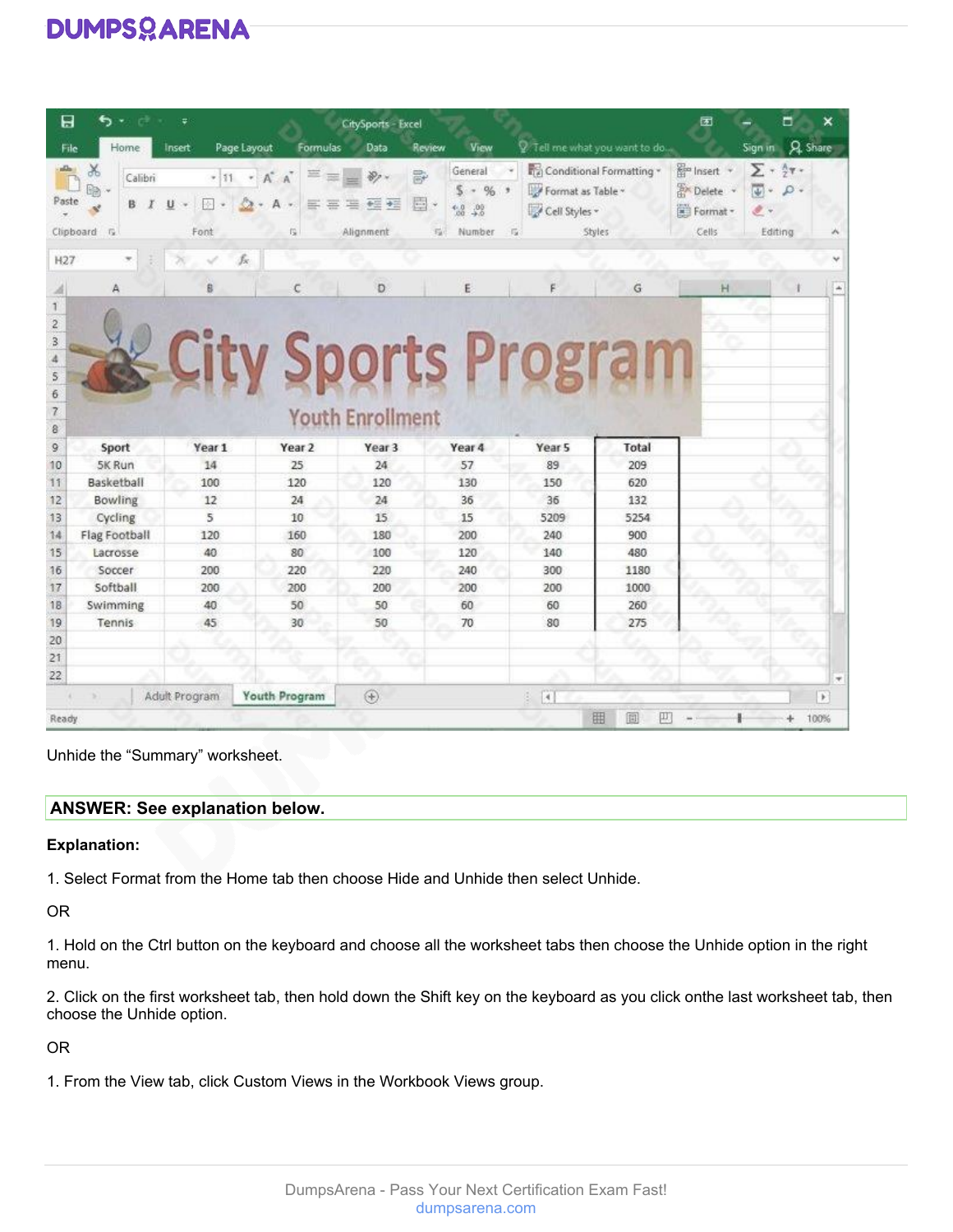| 日                             |                                    | Ψ                     |                                                 | <b>CitySports - Excel</b>         |                                                                    |                                                       |                                    | 团                                                             | ×<br>▭                                                                                        |
|-------------------------------|------------------------------------|-----------------------|-------------------------------------------------|-----------------------------------|--------------------------------------------------------------------|-------------------------------------------------------|------------------------------------|---------------------------------------------------------------|-----------------------------------------------------------------------------------------------|
| File                          | Home                               | Page Layout<br>Insert | Formulas                                        | Data                              | View<br>Review                                                     |                                                       | 2. Tell me what you want to do     |                                                               | <b>A</b> Share<br>Sign in                                                                     |
| Paste                         | Y,<br>Calibri<br>B.<br>Clipboard G | U<br>巫<br>Font        | $+11 + A^A$<br>A<br>三<br>垩<br>$\sim$<br>烏       | 霹<br>圓<br>座<br>中国 中国<br>Alignment | General<br>%<br>s.<br>×<br>$^{4.0}_{20}$<br>$^{+0}$<br>瑞<br>Number | Format as Table -<br>Cell Styles -<br>$-1\frac{1}{2}$ | Conditional Formatting *<br>Styles | <b>R</b> <sup>m</sup> Insert +<br>Delete<br>Format -<br>Cells | $\Sigma$ + $\frac{1}{2}$ y +<br>$\overline{\psi}$ -<br>$\rho$ .<br>$\mathscr{F}$ .<br>Editing |
| H <sub>27</sub>               |                                    | fx                    |                                                 |                                   |                                                                    |                                                       |                                    |                                                               |                                                                                               |
|                               | A                                  | ß                     | c                                               | Ð                                 | Ë                                                                  |                                                       | Ğ                                  | H                                                             |                                                                                               |
| 6<br>$\overline{z}$<br>8<br>9 | Sport                              | Year 1                | <b>City Sports Program</b><br>Year <sub>2</sub> | <b>Youth Enrollment</b><br>Year 3 | Year 4                                                             | Year <sub>5</sub>                                     | Total                              |                                                               |                                                                                               |
| 10                            | 5K Run                             | 14                    | 25                                              | 24                                | 57                                                                 | 89                                                    | 209                                |                                                               |                                                                                               |
| 11                            | Basketball                         | 100                   | 120                                             | 120                               | 130                                                                | 150                                                   | 620                                |                                                               |                                                                                               |
| 12                            | Bowling                            | 12                    | 24                                              | 24                                | 36                                                                 | 36                                                    | 132                                |                                                               |                                                                                               |
| 13                            | Cycling                            | 5                     | 10                                              | 15                                | 15                                                                 | 5209                                                  | 5254                               |                                                               |                                                                                               |
| 14                            | Flag Football                      | 120                   | 160                                             | 180                               | 200                                                                | 240                                                   | 900                                |                                                               |                                                                                               |
| 15                            | Lacrosse                           | 40                    | 80                                              | 100                               | 120                                                                | 140                                                   | 480                                |                                                               |                                                                                               |
| 16                            | Soccer                             | 200                   | 220                                             | 220                               | 240                                                                | 300                                                   | 1180                               |                                                               |                                                                                               |
| 17                            | Softball                           | 200                   | 200                                             | 200                               | 200                                                                | 200                                                   | 1000                               |                                                               |                                                                                               |
| 18                            | Swimming                           | 40                    | 50                                              | 50                                | 60                                                                 | 60                                                    | 260                                |                                                               |                                                                                               |
| 19                            | Tennis                             | 45                    | 30                                              | 50                                | 70                                                                 | 80                                                    | 275                                |                                                               |                                                                                               |
| 20                            |                                    |                       |                                                 |                                   |                                                                    |                                                       |                                    |                                                               |                                                                                               |
| 21                            |                                    |                       |                                                 |                                   |                                                                    |                                                       |                                    |                                                               |                                                                                               |
| 22                            |                                    |                       |                                                 |                                   |                                                                    |                                                       |                                    |                                                               | ×                                                                                             |
|                               |                                    | Adult Program         | Youth Program                                   | $\circledast$                     |                                                                    | $\left\lceil 4 \right\rceil$<br>ö.                    |                                    |                                                               | $\rightarrow$                                                                                 |
| Ready                         |                                    |                       |                                                 |                                   |                                                                    |                                                       | 囲<br>個<br>π                        |                                                               | 100%                                                                                          |

Unhide the "Summary" worksheet.

#### **ANSWER: See explanation below.**

#### **Explanation:**

1. Select Format from the Home tab then choose Hide and Unhide then select Unhide.

OR

1. Hold on the Ctrl button on the keyboard and choose all the worksheet tabs then choose the Unhide option in the right menu.

2. Click on the first worksheet tab, then hold down the Shift key on the keyboard as you click onthe last worksheet tab, then choose the Unhide option.

OR

1. From the View tab, click Custom Views in the Workbook Views group.